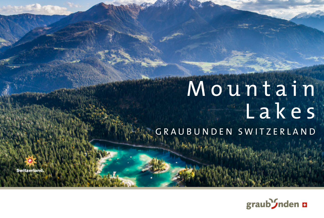# Mountain Lakes GRAUBUNDEN SWITZERLAND



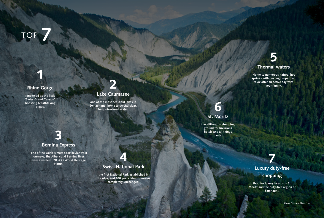TOP **7**

#### **Rhine Gorge**

**1**

**renowned as the little 'Swiss Grand Canyon', boasting breathtaking views.**

Show Household



#### **Lake Caumasee**

**one of the most beautiful lakes in Switzerland, home to crystal clear, turquoise-hued water.** 



#### **St. Moritz**

**the glitterati's stomping ground for luxurious hotels and all things haute.** 

# **7**

**Luxury duty-free shopping**

**Shop for luxury brands in St. Moritz and the duty-free region of Samnaun..**

## **3 Bernina Express**

 **one of the world's most spectacular train journeys, the Albula and Bernina lines were awarded UNESCO World Heritage Status.**

## **4 Swiss National Park**

**the first National Park established in the Alps, and 100 years later it remains completely unchanged.** 



**Home to numerous natural hot springs with healing properties, relax after an active day with your family.**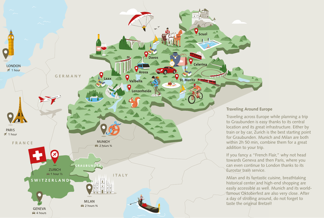

Traveling across Europe while planning a trip to Graubunden is easy thanks to its central location and its great infrastructure. Either by train or by car, Zurich is the best starting point for Graubunden. Munich and Milan are both within 2h 50 min, combine them for a great

If you fancy a "French Flair," why not head towards Geneva and then Paris, where you can even continue to London thanks to its

Milan and its fantastic cuisine, breathtaking historical center and high-end shopping are easily accessible as well. Munich and its worldfamous Oktoberfest are also very close. After a day of strolling around, do not forget to taste the original Bretzel!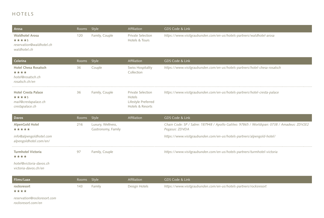### HOTELS

| Arosa                                                                          | Rooms | Style                                   | Affiliation                                                                   | GDS Code & Link                                                                                              |  |  |  |
|--------------------------------------------------------------------------------|-------|-----------------------------------------|-------------------------------------------------------------------------------|--------------------------------------------------------------------------------------------------------------|--|--|--|
| <b>Waldhotel Arosa</b><br>*****<br>reservation@waldhotel.ch<br>waldhotel.ch    | 120   | Family, Couple                          | <b>Private Selection</b><br>Hotels & Tours                                    | https://www.visitgraubunden.com/en-us/hotels-partners/waldhotel-arosa                                        |  |  |  |
| Celerina                                                                       | Rooms | Style                                   | Affiliation                                                                   | GDS Code & Link                                                                                              |  |  |  |
| <b>Hotel Chesa Rosatsch</b><br>****<br>hotel@rosatsch.ch<br>rosatsch.ch/en     | 36    | Couple                                  | <b>Swiss Hospitality</b><br>Collection                                        | https://www.visitgraubunden.com/en-us/hotels-partners/hotel-chesa-rosatsch                                   |  |  |  |
| <b>Hotel Cresta Palace</b><br>*****<br>mail@crestapalace.ch<br>crestapalace.ch | 36    | Family, Couple                          | <b>Private Selection</b><br>Hotels<br>Lifestyle Preferred<br>Hotels & Resorts | https://www.visitgraubunden.com/en-us/hotels-partners/hotel-cresta-palace                                    |  |  |  |
| <b>Davos</b>                                                                   | Rooms | Style                                   | Affiliation                                                                   | GDS Code & Link                                                                                              |  |  |  |
|                                                                                |       |                                         |                                                                               |                                                                                                              |  |  |  |
| <b>AlpenGold Hotel</b><br>*****                                                | 216   | Luxury, Wellness,<br>Gastronomy, Family |                                                                               | Chain Code: SP / Sabre: 187948 / Apollo Galileo: 97865 / Worldspan: 0738 / Amadeus: ZDV2E2<br>Pegasus: ZDVDA |  |  |  |
| info@alpengoldhotel.com<br>alpengoldhotel.com/en/                              |       |                                         |                                                                               | https://www.visitgraubunden.com/en-us/hotels-partners/alpengold-hotel/                                       |  |  |  |
| <b>Turmhotel Victoria</b><br>****                                              | 97    | Family, Couple                          |                                                                               | https://www.visitgraubunden.com/en-us/hotels-partners/turmhotel-victoria                                     |  |  |  |
| hotel@victoria-davos.ch<br>victoria-davos.ch/en                                |       |                                         |                                                                               |                                                                                                              |  |  |  |
| Flims/Laax                                                                     | Rooms | Style                                   | Affiliation                                                                   | GDS Code & Link                                                                                              |  |  |  |
| rocksresort<br>****<br>reservation@rocksresort.com                             | 143   | Family                                  | Design Hotels                                                                 | https://www.visitgraubunden.com/en-us/hotels-partners/rocksresort                                            |  |  |  |

*[rocksresort.com/en](http://rocksresort.com/en)*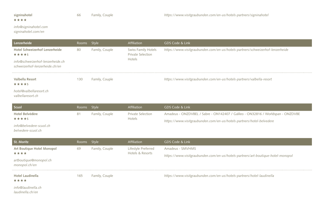# signinahotel<br> $\star \star \star \star$

#### *[info@signinahotel.com](mailto:info@signinahotel.com)*

*[signinahotel.com/en](http://signinahotel.com/en)*

| Lenzerheide                                                        | Rooms Style |                | <b>Affiliation</b>                       | GDS Code & Link                                                                |
|--------------------------------------------------------------------|-------------|----------------|------------------------------------------|--------------------------------------------------------------------------------|
| <b>Hotel Schweizerhof Lenzerheide</b><br>*****                     | 80          | Family, Couple | Swiss Family Hotels<br>Private Selection | https://www.visitgraubunden.com/en-us/hotels-partners/schweizerhof-lenzerheide |
| info@schweizerhof-lenzerheide.ch<br>schweizerhof-lenzerheide.ch/en |             |                | Hotels                                   |                                                                                |
| Valbella Resort<br>*****                                           | 130         | Family, Couple |                                          | https://www.visitgraubunden.com/en-us/hotels-partners/valbella-resort          |
| hotel@valbellaresort.ch<br>valbellaresort.ch                       |             |                |                                          |                                                                                |

| Scuol                   | Rooms Style |                | Affiliation       | GDS Code & Link                                                                 |
|-------------------------|-------------|----------------|-------------------|---------------------------------------------------------------------------------|
| Hotel Belvédère         | 81          | Family, Couple | Private Selection | Amadeus - ONZDVBEL / Sabre - ON142407 / Galileo - ON32816 / Worldspan - ONZDVBE |
| *****                   |             |                | Hotels            | https://www.visitgraubunden.com/en-us/hotels-partners/hotel-belvedere           |
| info@belvedere-scuol.ch |             |                |                   |                                                                                 |
| belvedere-scuol.ch      |             |                |                   |                                                                                 |

| St. Moritz                              | Rooms Style |                | <b>Affiliation</b>                      | GDS Code & Link                                                                  |  |
|-----------------------------------------|-------------|----------------|-----------------------------------------|----------------------------------------------------------------------------------|--|
| Art Boutique Hotel Monopol              | -69         | Family, Couple | Lifestyle Preferred<br>Hotels & Resorts | Amadeus - SMVHMS                                                                 |  |
| ****                                    |             |                |                                         | https://www.visitgraubunden.com/en-us/hotels-partners/art-boutique-hotel-monopol |  |
| artboutique@monopol.ch<br>monopol.ch/en |             |                |                                         |                                                                                  |  |
| Hotel Laudinella<br>****                | 165         | Family, Couple |                                         | https://www.visitgraubunden.com/en-us/hotels-partners/hotel-laudinella           |  |
| info@laudinella.ch<br>$\blacksquare$    |             |                |                                         |                                                                                  |  |

*[laudinella.ch/en](http://laudinella.ch/en)*